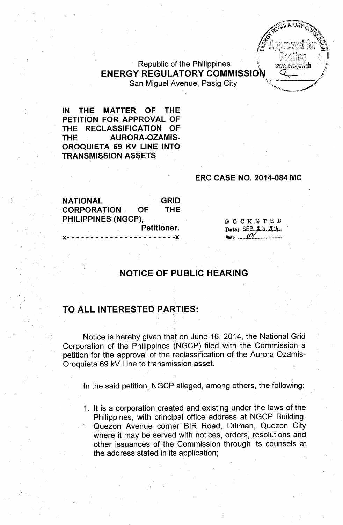

# Republic of the Philippines ENERGY REGULATORY COMMISSIO

San Miguel Avenue, Pasig City

IN THE MATTER OF THE PETITION FOR APPROVAL OF THE RECLASSIFICATION OF THE AURORA-OZAMIS-OROQUIETA 69 KV LINE INTO **TRANSMISSION ASSETS** 

#### ERC CASE NO. 2014-084 MC

NATIONAL GRID CORPORATION OF THE PHILIPPINES (NGCP), Petitioner. )(- - - - - - - - - - - - - - - - - - - ~ - - -)(

**DOCKETED** Date: <u>QEP. 2.3.2014</u> **h**: M

## NOTICE OF PUBLIC HEARING

#### TO ALL INTERESTED PARTIES:

Notice is hereby given that on June 16, 2014, the National Grid Corporation of the Philippines (NGCP) filed with the Commission a petition for the approval of the reclassification of the Aurora-Ozamis-Oroquieta 69 kV Line to transmission asset.

In the said petition, NGCP alleged, among others, the following:

1. It is a corporation created and existing under the laws of the Philippines, with principal office address at NGCP Building, Quezon Avenue corner BIR Road, Diliman, Quezon City where it may be served with notices, orders, resolutions and other issuances of the Commission through its counsels at the address stated in its application;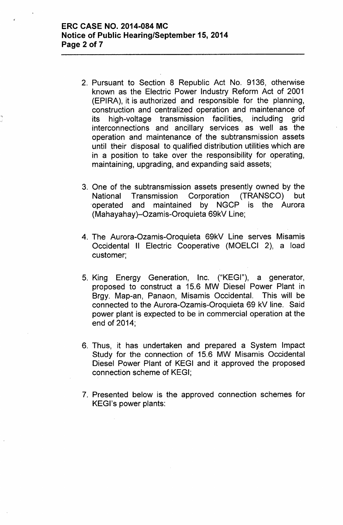.,

- 2. Pursuant to Section 8 Republic Act No. 9136, otherwise known as the Electric Power Industry Reform Act of 2001 (EPIRA), it is authorized and responsible for the planning, construction and centralized operation and maintenance of its high-voltage transmission facilities, including grid interconnections and ancillary services as well as the operation and maintenance of the subtransmission assets until their disposal to qualified distribution utilities which are in a position to take over the responsibility for operating, maintaining, upgrading, and expanding said assets;
- 3. One of the subtransmission assets presently owned by the National Transmission Corporation (TRANSCO) but 'operated and maintained by NGCP is the Aurora (Mahayahay)-Ozamis-Oroquieta 69kV Line;
- 4. The Aurora-Ozamis-Oroquieta 69kV Line serves Misamis Occidental II Electric Cooperative (MOELCI 2), a load customer;
- 5. King Energy Generation, Inc. ("KEGI"), a generator, proposed to construct a 15.6 MW Diesel Power Plant in Brgy. Map-an, Panaon, Misamis Occidental. This will be connected to the Aurora-Ozamis-Oroquieta 69 kV line. Said power plant is expected to be in commercial operation at the end of 2014;
- 6. Thus, it has undertaken and prepared a System Impact Study for the connection of 15.6 MW Misamis Occidental Diesel Power Plant of KEGI and it approved the proposed connection scheme of KEGI;
- 7. Presented below is the approved connection schemes for KEGl's power plants: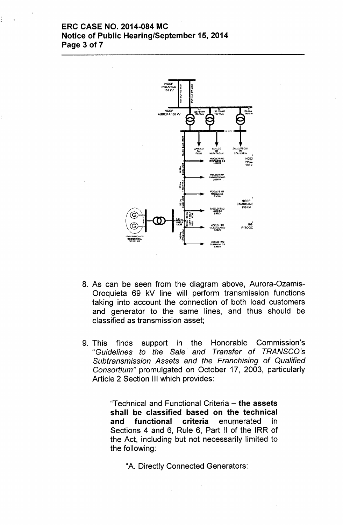### ERC CASE NO. 2014-084 MC Notice of Public Hearing/September 15,2014 Page 3 of 7



- 8. As can be seen from the diagram above, Aurora-Ozamis-Oroquieta 69 kV line will perform transmission functions taking into account the connection of both load customers and generator to the same lines, and thus should be classified as transmission asset;
- 9. This finds support in the Honorable Commission's *"Guidelines to the Sale and Transfer of TRANSCO's Subtransmission Assets and the Franchising of Qualified Consortium"* promulgated on October 17, 2003, particularly Article 2 Section III which provides:

"Technical and Functional Criteria - the assets shall be classified based on the technical and functional criteria enumerated in Sections 4 and 6, Rule 6, Part II of the IRR of the Act, including but not necessarily limited to the following:

"A. Directly Connected Generators: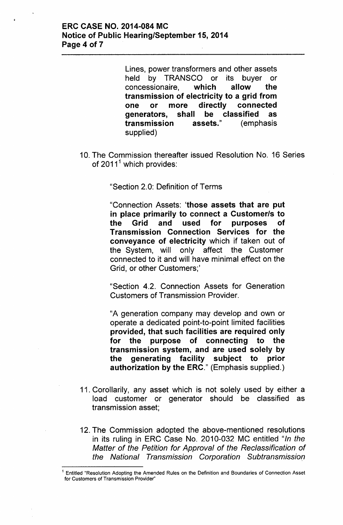Lines, power transformers and other assets held by TRANSCO or its buyer or concessionaire, which allow the transmission of electricity to a grid from one or more directly connected generators, shall be classified as transmission assets." (emphasis supplied)

10. The Commission thereafter issued Resolution No. 16 Series of  $2011<sup>1</sup>$  which provides:

"Section 2.0: Definition of Terms

"Connection Assets: 'those assets that are put in place primarily to connect a Customer/s to the Grid and used for purposes of Transmission Connection Services for the conveyance of electricity which if taken out of the System, will only affect the Customer connected to it and will have minimal effect on the Grid, or other Customers;'

"Section 4.2. Connection Assets for Generation Customers of Transmission Provider.

"A generation company may develop and own or operate a dedicated point-to-point limited facilities provided, that such facilities are required only for the purpose of connecting to the transmission system, and are used solely by the generating facility subject to prior authorization by the ERC." (Emphasis supplied.)

- 11. Corollarily, any asset which is not solely used by either a load customer or generator should be classified as transmission asset;
- 12. The Commission adopted the above-mentioned resolutions in its ruling in ERC Case No. 2010-032 MC entitled *"In the Matter of the Petition for Approval of the Reclassification of the National Transmission Corporation Subtransmission*

<sup>1</sup> Entitled "Resolution Adopting the Amended Rules on the Definition and Boundaries of Connection Asset for Customers of Transmission Provider"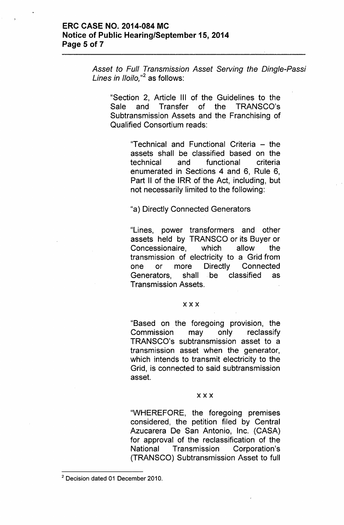### ERC CASE NO. 2014-084 MC Notice of Public Hearing/September 15,2014 Page 5 of 7

*Asset to Full Transmission Asset Serving the Dingle-Passi Lines in Iloilo*,"<sup>2</sup> as follows:

"Section 2, Article III of the Guidelines to the Sale and Transfer of the TRANSCO's Subtransmission Assets and the Franchising of Qualified Consortium reads:

> "Technical and Functional Criteria - the assets shall be classified based on the technical and functional criteria enumerated in Sections 4 and 6, Rule 6, Part II of the IRR of the Act, including, but not necessarily limited to the following:

"a) Directly Connected Generators

"Lines, power transformers and other assets held by TRANSCO or its Buyer or Concessionaire, which allow the transmission of electricity to a Grid from one or more Directly Connected Generators, shall be classified as Transmission Assets.

#### xxx

"Based on the foregoing provision, the Commission may only reclassify TRANSCO's subtransmission asset to a transmission asset when the generator, which intends to transmit electricity to the Grid, is connected to said subtransmission asset.

#### xxx

UWHEREFORE, the foregoing premises considered, the petition filed by Central Azucarera De San Antonio, Inc. (CASA) for approval of the reclassification of the National Transmission Corporation's (TRANSCO) Subtransmission Asset to full

<sup>2</sup> Decision dated 01 December 2010.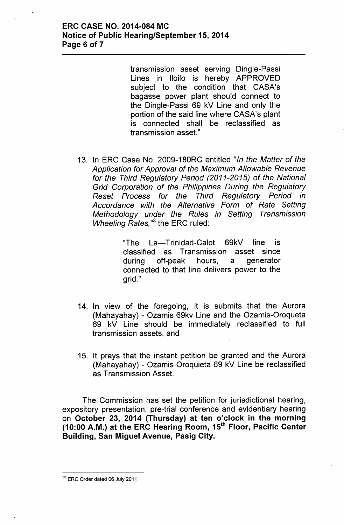transmission asset serving Dingle-Passi Lines in Iloilo is hereby APPROVED subject to the condition that CASA's bagasse power plant should connect to the Dingle-Passi 69 kV Line and only the portion of the said line where CASA's plant is connected shall be reclassified as transmission asset."

13. In ERC Case No. 2009-180RC entitled *"In the Matter of the Application for Approval of the Maximum Allowable Revenue for the Third Regulatory Period (2011-2015) of the National Grid Corporation of the Philippines During the Regulatory Reset Process for the Third Regulatory Period in Accordance with the Alternative Form of Rate Setting Methodology under the Rules in Setting Transmission Wheeling Rates.*<sup>3</sup> the ERC ruled:

> "The La-Trinidad-Calot 69kV line is classified as Transmission asset since during off-peak hours, a generator connected to that line delivers power to the grid."

- 14. In view of the foregoing, it is submits that the Aurora (Mahayahay) - Ozamis 69kv Line and the Ozamis-Oroqueta 69 kV Line should be immediately reclassified to full transmission assets; and
- 15. It prays that the instant petition be granted and the Aurora (Mahayahay) - Ozamis-Oroquieta 69 kV Line be reclassified as Transmission Asset.

The Commission has set the petition for jurisdictional hearing, expository presentation, pre-trial conference and evidentiary hearing on October 23, 2014 (Thursday) at ten o'clock in the morning (10:00 A.M.) at the ERC Hearing Room,  $15<sup>th</sup>$  Floor, Pacific Center Building, San Miguel Avenue, Pasig City.

<sup>&</sup>lt;sup>33</sup> ERC Order dated 06 July 2011